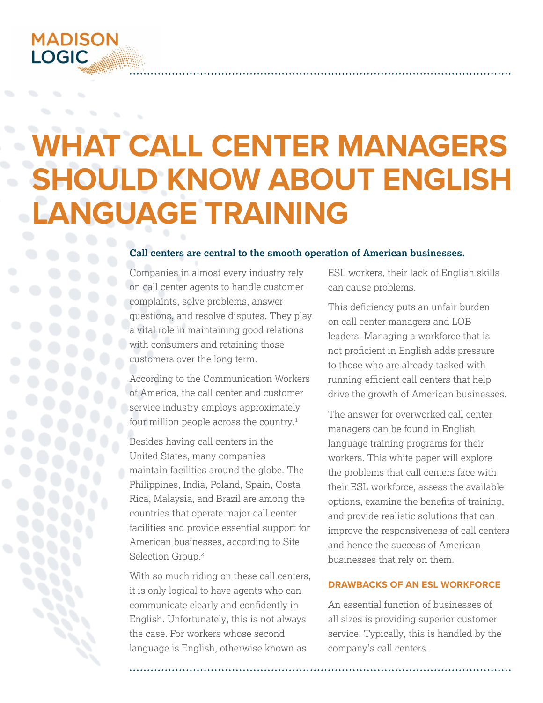## **MADISON LOGIC**

# **WHAT CALL CENTER MANAGERS SHOULD KNOW ABOUT ENGLISH LANGUAGE TRAINING**

## **Call centers are central to the smooth operation of American businesses.**

Companies in almost every industry rely on call center agents to handle customer complaints, solve problems, answer questions, and resolve disputes. They play a vital role in maintaining good relations with consumers and retaining those customers over the long term.

According to the Communication Workers of America, the call center and customer service industry employs approximately four million people across the country.<sup>1</sup>

Besides having call centers in the United States, many companies maintain facilities around the globe. The Philippines, India, Poland, Spain, Costa Rica, Malaysia, and Brazil are among the countries that operate major call center facilities and provide essential support for American businesses, according to Site Selection Group.2

With so much riding on these call centers, it is only logical to have agents who can communicate clearly and confidently in English. Unfortunately, this is not always the case. For workers whose second language is English, otherwise known as

ESL workers, their lack of English skills can cause problems.

This deficiency puts an unfair burden on call center managers and LOB leaders. Managing a workforce that is not proficient in English adds pressure to those who are already tasked with running efficient call centers that help drive the growth of American businesses.

The answer for overworked call center managers can be found in English language training programs for their workers. This white paper will explore the problems that call centers face with their ESL workforce, assess the available options, examine the benefits of training, and provide realistic solutions that can improve the responsiveness of call centers and hence the success of American businesses that rely on them.

## **DRAWBACKS OF AN ESL WORKFORCE**

An essential function of businesses of all sizes is providing superior customer service. Typically, this is handled by the company's call centers.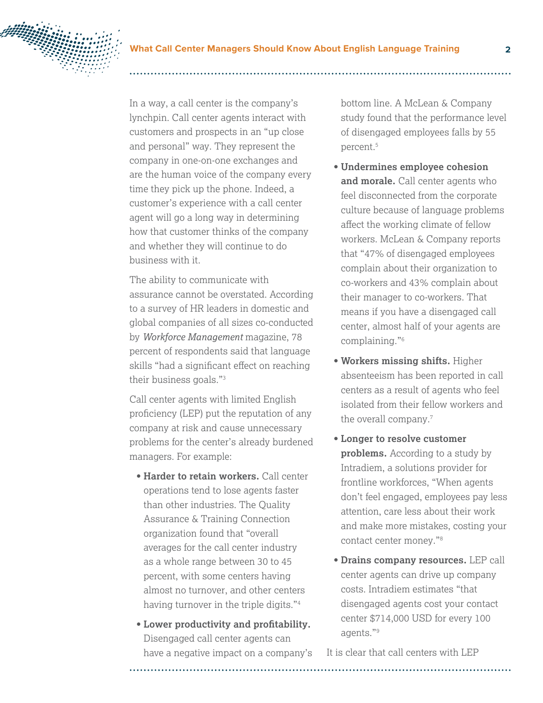

In a way, a call center is the company's lynchpin. Call center agents interact with customers and prospects in an "up close and personal" way. They represent the company in one-on-one exchanges and are the human voice of the company every time they pick up the phone. Indeed, a customer's experience with a call center agent will go a long way in determining how that customer thinks of the company and whether they will continue to do business with it.

The ability to communicate with assurance cannot be overstated. According to a survey of HR leaders in domestic and global companies of all sizes co-conducted by *Workforce Management* magazine, 78 percent of respondents said that language skills "had a significant effect on reaching their business goals."3

Call center agents with limited English proficiency (LEP) put the reputation of any company at risk and cause unnecessary problems for the center's already burdened managers. For example:

- **Harder to retain workers.** Call center operations tend to lose agents faster than other industries. The Quality Assurance & Training Connection organization found that "overall averages for the call center industry as a whole range between 30 to 45 percent, with some centers having almost no turnover, and other centers having turnover in the triple digits."<sup>4</sup>
- **Lower productivity and profitability.**  Disengaged call center agents can have a negative impact on a company's

bottom line. A McLean & Company study found that the performance level of disengaged employees falls by 55 percent.5

- **Undermines employee cohesion and morale.** Call center agents who feel disconnected from the corporate culture because of language problems affect the working climate of fellow workers. McLean & Company reports that "47% of disengaged employees complain about their organization to co-workers and 43% complain about their manager to co-workers. That means if you have a disengaged call center, almost half of your agents are complaining."6
- **Workers missing shifts.** Higher absenteeism has been reported in call centers as a result of agents who feel isolated from their fellow workers and the overall company.<sup>7</sup>
- **Longer to resolve customer problems.** According to a study by Intradiem, a solutions provider for frontline workforces, "When agents don't feel engaged, employees pay less attention, care less about their work and make more mistakes, costing your contact center money."8
- **Drains company resources.** LEP call center agents can drive up company costs. Intradiem estimates "that disengaged agents cost your contact center \$714,000 USD for every 100 agents."9

It is clear that call centers with LEP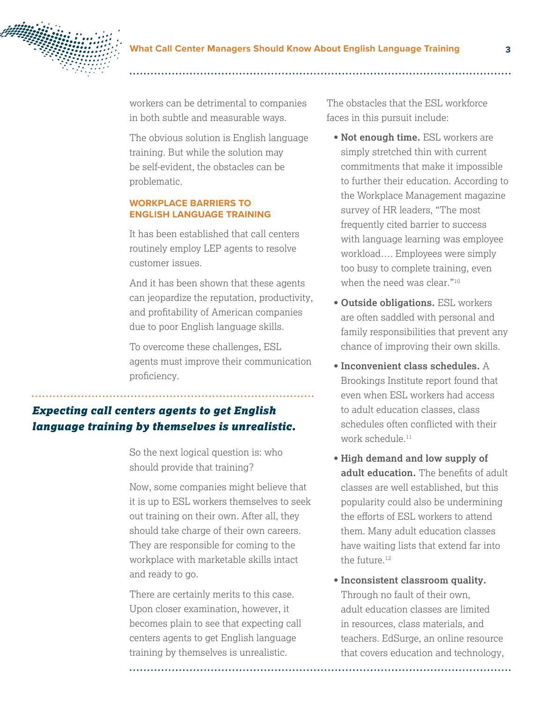

workers can be detrimental to companies in both subtle and measurable ways.

The obvious solution is English language training. But while the solution may be self-evident, the obstacles can be problematic.

## **WORKPLACE BARRIERS TO ENGLISH LANGUAGE TRAINING**

It has been established that call centers routinely employ LEP agents to resolve customer issues.

And it has been shown that these agents can jeopardize the reputation, productivity, and profitability of American companies due to poor English language skills.

To overcome these challenges, ESL agents must improve their communication proficiency.

## *Expecting call centers agents to get English language training by themselves is unrealistic.*

So the next logical question is: who should provide that training?

Now, some companies might believe that it is up to ESL workers themselves to seek out training on their own. After all, they should take charge of their own careers. They are responsible for coming to the workplace with marketable skills intact and ready to go.

There are certainly merits to this case. Upon closer examination, however, it becomes plain to see that expecting call centers agents to get English language training by themselves is unrealistic.

The obstacles that the ESL workforce faces in this pursuit include:

- **Not enough time.** ESL workers are simply stretched thin with current commitments that make it impossible to further their education. According to the Workplace Management magazine survey of HR leaders, "The most frequently cited barrier to success with language learning was employee workload…. Employees were simply too busy to complete training, even when the need was clear."<sup>10</sup>
- **Outside obligations.** ESL workers are often saddled with personal and family responsibilities that prevent any chance of improving their own skills.
- **Inconvenient class schedules.** A Brookings Institute report found that even when ESL workers had access to adult education classes, class schedules often conflicted with their work schedule.11
- **High demand and low supply of adult education.** The benefits of adult classes are well established, but this popularity could also be undermining the efforts of ESL workers to attend them. Many adult education classes have waiting lists that extend far into the future.12
- **Inconsistent classroom quality.**  Through no fault of their own, adult education classes are limited in resources, class materials, and teachers. EdSurge, an online resource that covers education and technology,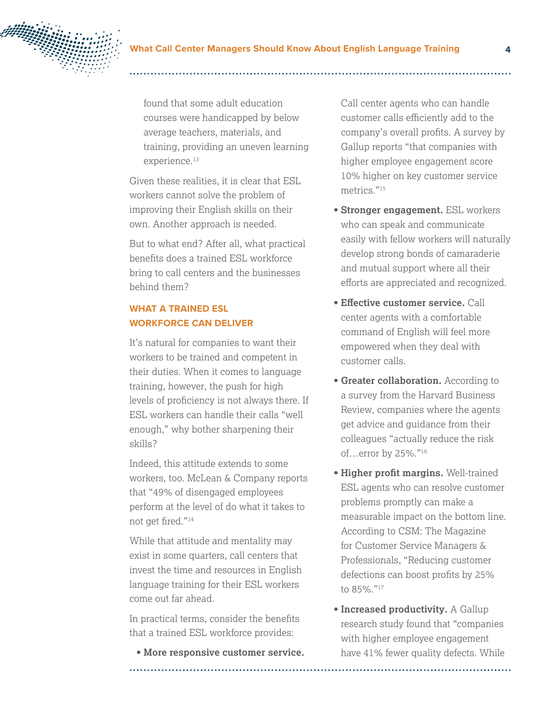

found that some adult education courses were handicapped by below average teachers, materials, and training, providing an uneven learning experience.<sup>13</sup>

Given these realities, it is clear that ESL workers cannot solve the problem of improving their English skills on their own. Another approach is needed.

But to what end? After all, what practical benefits does a trained ESL workforce bring to call centers and the businesses behind them?

## **WHAT A TRAINED ESL WORKFORCE CAN DELIVER**

It's natural for companies to want their workers to be trained and competent in their duties. When it comes to language training, however, the push for high levels of proficiency is not always there. If ESL workers can handle their calls "well enough," why bother sharpening their skills?

Indeed, this attitude extends to some workers, too. McLean & Company reports that "49% of disengaged employees perform at the level of do what it takes to not get fired."<sup>14</sup>

While that attitude and mentality may exist in some quarters, call centers that invest the time and resources in English language training for their ESL workers come out far ahead.

In practical terms, consider the benefits that a trained ESL workforce provides:

**• More responsive customer service.**

Call center agents who can handle customer calls efficiently add to the company's overall profits. A survey by Gallup reports "that companies with higher employee engagement score 10% higher on key customer service metrics."15

- **Stronger engagement.** ESL workers who can speak and communicate easily with fellow workers will naturally develop strong bonds of camaraderie and mutual support where all their efforts are appreciated and recognized.
- **Effective customer service.** Call center agents with a comfortable command of English will feel more empowered when they deal with customer calls.
- **Greater collaboration.** According to a survey from the Harvard Business Review, companies where the agents get advice and guidance from their colleagues "actually reduce the risk of…error by 25%."16
- **Higher profit margins.** Well-trained ESL agents who can resolve customer problems promptly can make a measurable impact on the bottom line. According to CSM: The Magazine for Customer Service Managers & Professionals, "Reducing customer defections can boost profits by 25% to 85%."17
- **Increased productivity.** A Gallup research study found that "companies with higher employee engagement have 41% fewer quality defects. While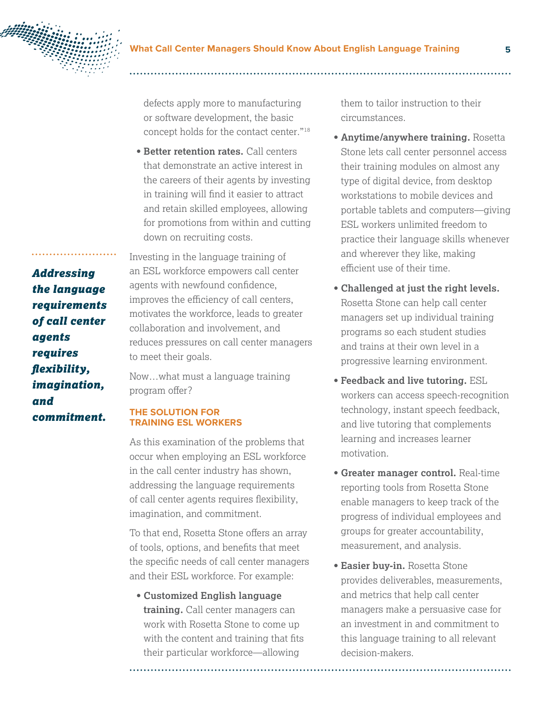

defects apply more to manufacturing or software development, the basic concept holds for the contact center."18

**• Better retention rates.** Call centers that demonstrate an active interest in the careers of their agents by investing in training will find it easier to attract and retain skilled employees, allowing for promotions from within and cutting down on recruiting costs.

Investing in the language training of an ESL workforce empowers call center agents with newfound confidence, improves the efficiency of call centers, motivates the workforce, leads to greater collaboration and involvement, and reduces pressures on call center managers to meet their goals.

Now…what must a language training program offer?

## **THE SOLUTION FOR TRAINING ESL WORKERS**

As this examination of the problems that occur when employing an ESL workforce in the call center industry has shown, addressing the language requirements of call center agents requires flexibility, imagination, and commitment.

To that end, Rosetta Stone offers an array of tools, options, and benefits that meet the specific needs of call center managers and their ESL workforce. For example:

**• Customized English language training.** Call center managers can work with Rosetta Stone to come up with the content and training that fits their particular workforce—allowing

them to tailor instruction to their circumstances.

- **Anytime/anywhere training.** Rosetta Stone lets call center personnel access their training modules on almost any type of digital device, from desktop workstations to mobile devices and portable tablets and computers—giving ESL workers unlimited freedom to practice their language skills whenever and wherever they like, making efficient use of their time.
- **Challenged at just the right levels.**  Rosetta Stone can help call center managers set up individual training programs so each student studies and trains at their own level in a progressive learning environment.
- **Feedback and live tutoring.** ESL workers can access speech-recognition technology, instant speech feedback, and live tutoring that complements learning and increases learner motivation.
- **Greater manager control.** Real-time reporting tools from Rosetta Stone enable managers to keep track of the progress of individual employees and groups for greater accountability, measurement, and analysis.
- **Easier buy-in.** Rosetta Stone provides deliverables, measurements, and metrics that help call center managers make a persuasive case for an investment in and commitment to this language training to all relevant decision-makers.

*the language requirements of call center agents requires flexibility, imagination, and commitment.*

*Addressing*